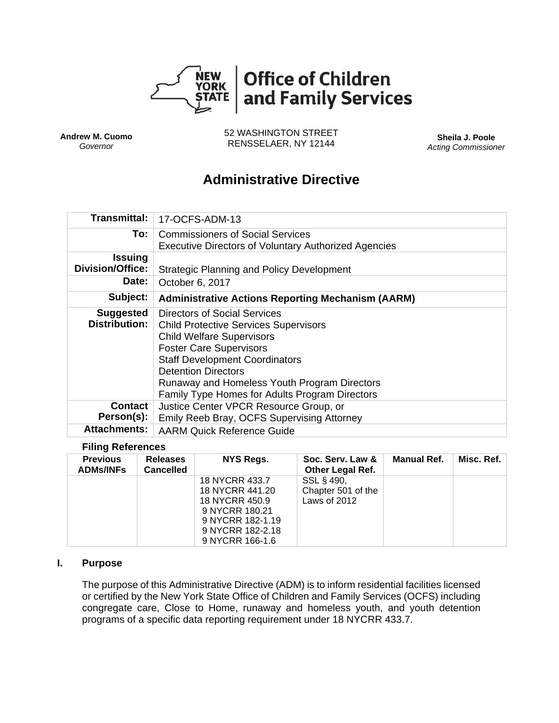

**Andrew M. Cuomo**  *Governor*

52 WASHINGTON STREET RENSSELAER, NY 12144 **Sheila J. Poole** 

*Acting Commissioner* 

# **Administrative Directive**

| <b>Transmittal:</b>                       | 17-OCFS-ADM-13                                                                                                                                                                                                                                                                                                              |  |  |  |  |
|-------------------------------------------|-----------------------------------------------------------------------------------------------------------------------------------------------------------------------------------------------------------------------------------------------------------------------------------------------------------------------------|--|--|--|--|
| To:                                       | <b>Commissioners of Social Services</b><br><b>Executive Directors of Voluntary Authorized Agencies</b>                                                                                                                                                                                                                      |  |  |  |  |
| <b>Issuing</b><br><b>Division/Office:</b> | <b>Strategic Planning and Policy Development</b>                                                                                                                                                                                                                                                                            |  |  |  |  |
| Date:                                     | October 6, 2017                                                                                                                                                                                                                                                                                                             |  |  |  |  |
| Subject:                                  | <b>Administrative Actions Reporting Mechanism (AARM)</b>                                                                                                                                                                                                                                                                    |  |  |  |  |
| <b>Suggested</b><br><b>Distribution:</b>  | Directors of Social Services<br><b>Child Protective Services Supervisors</b><br><b>Child Welfare Supervisors</b><br><b>Foster Care Supervisors</b><br><b>Staff Development Coordinators</b><br><b>Detention Directors</b><br>Runaway and Homeless Youth Program Directors<br>Family Type Homes for Adults Program Directors |  |  |  |  |
| <b>Contact</b><br>Person(s):              | Justice Center VPCR Resource Group, or<br>Emily Reeb Bray, OCFS Supervising Attorney                                                                                                                                                                                                                                        |  |  |  |  |
| <b>Attachments:</b>                       | <b>AARM Quick Reference Guide</b>                                                                                                                                                                                                                                                                                           |  |  |  |  |

#### **Filing References**

| <b>Previous</b><br><b>ADMs/INFs</b> | <b>Releases</b><br><b>Cancelled</b> | NYS Regs.        | Soc. Serv. Law &<br><b>Other Legal Ref.</b> | <b>Manual Ref.</b> | Misc. Ref. |
|-------------------------------------|-------------------------------------|------------------|---------------------------------------------|--------------------|------------|
|                                     |                                     | 18 NYCRR 433.7   | SSL § 490,                                  |                    |            |
|                                     |                                     | 18 NYCRR 441.20  | Chapter 501 of the                          |                    |            |
|                                     |                                     | 18 NYCRR 450.9   | Laws of 2012                                |                    |            |
|                                     |                                     | 9 NYCRR 180.21   |                                             |                    |            |
|                                     |                                     | 9 NYCRR 182-1.19 |                                             |                    |            |
|                                     |                                     | 9 NYCRR 182-2.18 |                                             |                    |            |
|                                     |                                     | 9 NYCRR 166-1.6  |                                             |                    |            |

#### **I. Purpose**

The purpose of this Administrative Directive (ADM) is to inform residential facilities licensed or certified by the New York State Office of Children and Family Services (OCFS) including congregate care, Close to Home, runaway and homeless youth, and youth detention programs of a specific data reporting requirement under 18 NYCRR 433.7.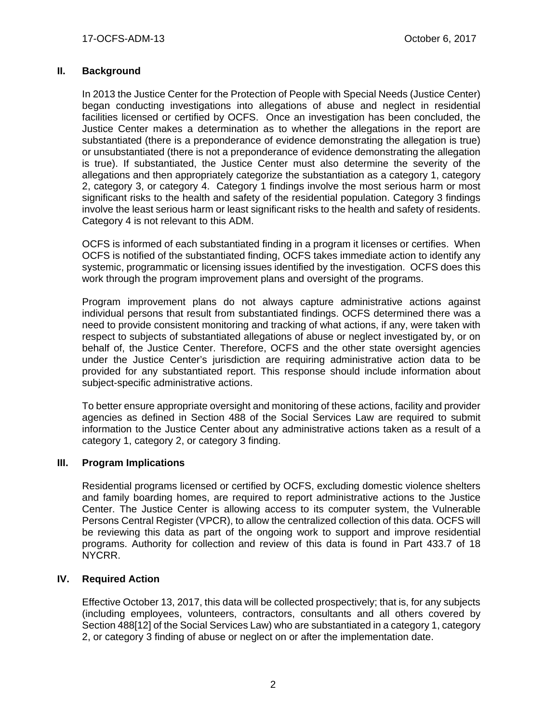# **II. Background**

In 2013 the Justice Center for the Protection of People with Special Needs (Justice Center) began conducting investigations into allegations of abuse and neglect in residential facilities licensed or certified by OCFS. Once an investigation has been concluded, the Justice Center makes a determination as to whether the allegations in the report are substantiated (there is a preponderance of evidence demonstrating the allegation is true) or unsubstantiated (there is not a preponderance of evidence demonstrating the allegation is true). If substantiated, the Justice Center must also determine the severity of the allegations and then appropriately categorize the substantiation as a category 1, category 2, category 3, or category 4. Category 1 findings involve the most serious harm or most significant risks to the health and safety of the residential population. Category 3 findings involve the least serious harm or least significant risks to the health and safety of residents. Category 4 is not relevant to this ADM.

OCFS is informed of each substantiated finding in a program it licenses or certifies. When OCFS is notified of the substantiated finding, OCFS takes immediate action to identify any systemic, programmatic or licensing issues identified by the investigation. OCFS does this work through the program improvement plans and oversight of the programs.

Program improvement plans do not always capture administrative actions against individual persons that result from substantiated findings. OCFS determined there was a need to provide consistent monitoring and tracking of what actions, if any, were taken with respect to subjects of substantiated allegations of abuse or neglect investigated by, or on behalf of, the Justice Center. Therefore, OCFS and the other state oversight agencies under the Justice Center's jurisdiction are requiring administrative action data to be provided for any substantiated report. This response should include information about subject-specific administrative actions.

To better ensure appropriate oversight and monitoring of these actions, facility and provider agencies as defined in Section 488 of the Social Services Law are required to submit information to the Justice Center about any administrative actions taken as a result of a category 1, category 2, or category 3 finding.

## **III. Program Implications**

Residential programs licensed or certified by OCFS, excluding domestic violence shelters and family boarding homes, are required to report administrative actions to the Justice Center. The Justice Center is allowing access to its computer system, the Vulnerable Persons Central Register (VPCR), to allow the centralized collection of this data. OCFS will be reviewing this data as part of the ongoing work to support and improve residential programs. Authority for collection and review of this data is found in Part 433.7 of 18 NYCRR.

## **IV. Required Action**

Effective October 13, 2017, this data will be collected prospectively; that is, for any subjects (including employees, volunteers, contractors, consultants and all others covered by Section 488[12] of the Social Services Law) who are substantiated in a category 1, category 2, or category 3 finding of abuse or neglect on or after the implementation date.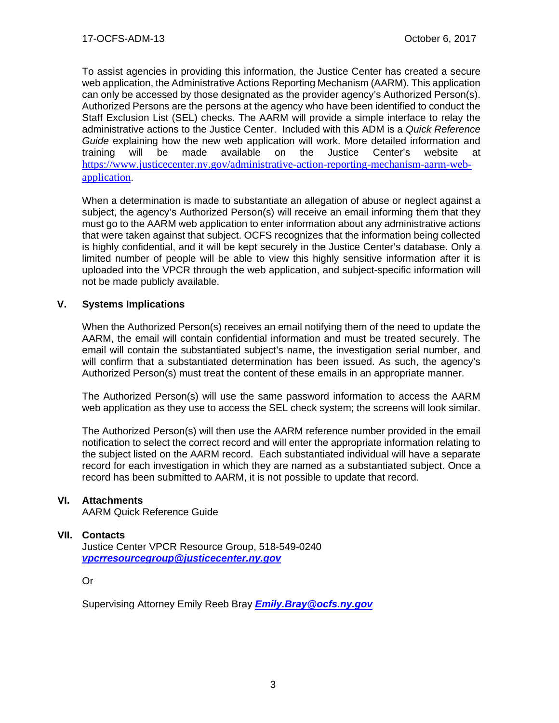To assist agencies in providing this information, the Justice Center has created a secure web application, the Administrative Actions Reporting Mechanism (AARM). This application can only be accessed by those designated as the provider agency's Authorized Person(s). Authorized Persons are the persons at the agency who have been identified to conduct the Staff Exclusion List (SEL) checks. The AARM will provide a simple interface to relay the administrative actions to the Justice Center. Included with this ADM is a *Quick Reference Guide* explaining how the new web application will work. More detailed information and training will be made available on the Justice Center's website at https://www.justicecenter.ny.gov/administrative-action-reporting-mechanism-aarm-webapplication.

When a determination is made to substantiate an allegation of abuse or neglect against a subject, the agency's Authorized Person(s) will receive an email informing them that they must go to the AARM web application to enter information about any administrative actions that were taken against that subject. OCFS recognizes that the information being collected is highly confidential, and it will be kept securely in the Justice Center's database. Only a limited number of people will be able to view this highly sensitive information after it is uploaded into the VPCR through the web application, and subject-specific information will not be made publicly available.

# **V. Systems Implications**

When the Authorized Person(s) receives an email notifying them of the need to update the AARM, the email will contain confidential information and must be treated securely. The email will contain the substantiated subject's name, the investigation serial number, and will confirm that a substantiated determination has been issued. As such, the agency's Authorized Person(s) must treat the content of these emails in an appropriate manner.

The Authorized Person(s) will use the same password information to access the AARM web application as they use to access the SEL check system; the screens will look similar.

The Authorized Person(s) will then use the AARM reference number provided in the email notification to select the correct record and will enter the appropriate information relating to the subject listed on the AARM record. Each substantiated individual will have a separate record for each investigation in which they are named as a substantiated subject. Once a record has been submitted to AARM, it is not possible to update that record.

## **VI. Attachments**

AARM Quick Reference Guide

## **VII. Contacts**

Justice Center VPCR Resource Group, 518-549-0240 *vpcrresourcegroup@justicecenter.ny.gov*

Or

Supervising Attorney Emily Reeb Bray *Emily.Bray@ocfs.ny.gov*